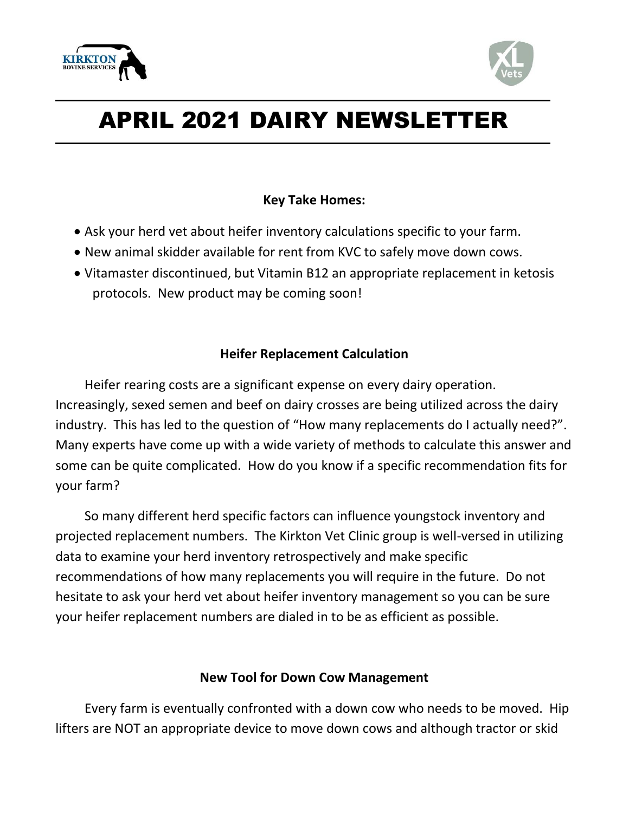



# APRIL 2021 DAIRY NEWSLETTER

## **Key Take Homes:**

- Ask your herd vet about heifer inventory calculations specific to your farm.
- New animal skidder available for rent from KVC to safely move down cows.
- Vitamaster discontinued, but Vitamin B12 an appropriate replacement in ketosis protocols. New product may be coming soon!

### **Heifer Replacement Calculation**

Heifer rearing costs are a significant expense on every dairy operation. Increasingly, sexed semen and beef on dairy crosses are being utilized across the dairy industry. This has led to the question of "How many replacements do I actually need?". Many experts have come up with a wide variety of methods to calculate this answer and some can be quite complicated. How do you know if a specific recommendation fits for your farm?

So many different herd specific factors can influence youngstock inventory and projected replacement numbers. The Kirkton Vet Clinic group is well-versed in utilizing data to examine your herd inventory retrospectively and make specific recommendations of how many replacements you will require in the future. Do not hesitate to ask your herd vet about heifer inventory management so you can be sure your heifer replacement numbers are dialed in to be as efficient as possible.

### **New Tool for Down Cow Management**

Every farm is eventually confronted with a down cow who needs to be moved. Hip lifters are NOT an appropriate device to move down cows and although tractor or skid